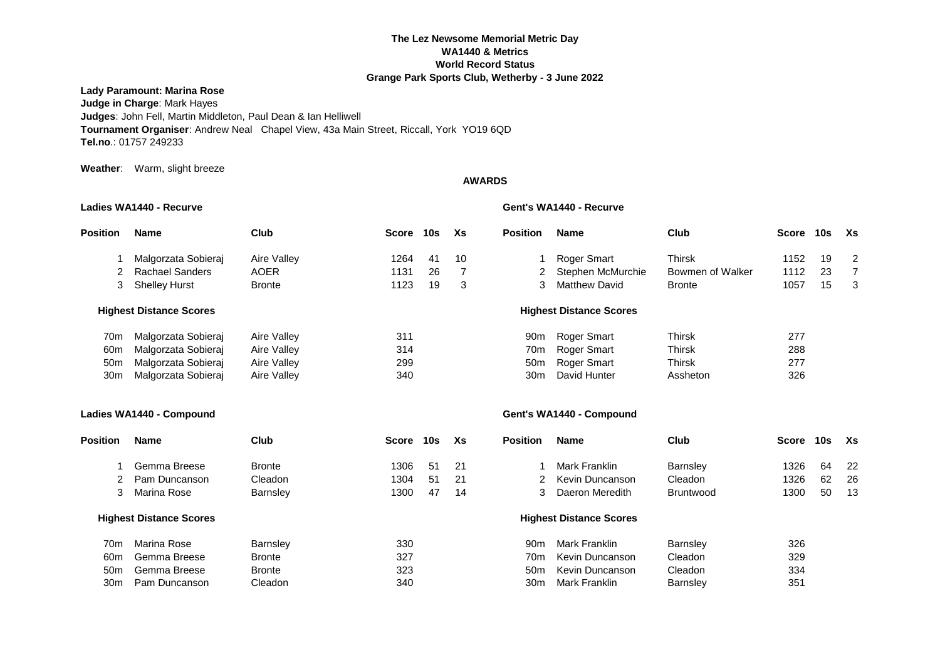## **The Lez Newsome Memorial Metric Day WA1440 & Metrics World Record Status Grange Park Sports Club, Wetherby - 3 June 2022**

## **Lady Paramount: Marina Rose**

**Judge in Charge**: Mark Hayes **Judges**: John Fell, Martin Middleton, Paul Dean & Ian Helliwell **Tournament Organiser**: Andrew Neal Chapel View, 43a Main Street, Riccall, York YO19 6QD **Tel.no**.: 01757 249233

**Weather**: Warm, slight breeze

## **AWARDS**

**Ladies WA1440 - Recurve Gent's WA1440 - Recurve**

| <b>Position</b> | Name                           | Club          | Score | 10s | Xs | <b>Position</b> | <b>Name</b>                    | Club             | Score | 10s | Xs |
|-----------------|--------------------------------|---------------|-------|-----|----|-----------------|--------------------------------|------------------|-------|-----|----|
|                 | Malgorzata Sobieraj            | Aire Valley   | 1264  | -41 | 10 |                 | Roger Smart                    | Thirsk           | 1152  | 19  | 2  |
|                 | 2 Rachael Sanders              | <b>AOER</b>   | 1131  | 26  |    |                 | Stephen McMurchie              | Bowmen of Walker | 1112  | 23  |    |
| 3               | Shelley Hurst                  | <b>Bronte</b> | 1123  | 19  | 3  |                 | <b>Matthew David</b>           | <b>Bronte</b>    | 1057  | 15  | -3 |
|                 | <b>Highest Distance Scores</b> |               |       |     |    |                 | <b>Highest Distance Scores</b> |                  |       |     |    |
| 70m             | Malgorzata Sobieraj            | Aire Valley   | 311   |     |    | 90 <sub>m</sub> | Roger Smart                    | Thirsk           | 277   |     |    |
| 60 <sub>m</sub> | Malgorzata Sobierai            | Aire Valley   | 314   |     |    | 70m             | Roger Smart                    | <b>Thirsk</b>    | 288   |     |    |
| 50m             | Malgorzata Sobierai            | Aire Valley   | 299   |     |    | 50 <sub>m</sub> | Roger Smart                    | Thirsk           | 277   |     |    |
| 30 <sub>m</sub> | Malgorzata Sobieraj            | Aire Valley   | 340   |     |    | 30m             | David Hunter                   | Assheton         | 326   |     |    |

## **Ladies WA1440 - Compound Gent's WA1440 - Compound**

| Position        | Name                           | Club            | <b>Score</b> | 10s | Xs  | <b>Position</b> | Name                           | Club             | Score | 10s | Xs   |
|-----------------|--------------------------------|-----------------|--------------|-----|-----|-----------------|--------------------------------|------------------|-------|-----|------|
|                 | Gemma Breese                   | <b>Bronte</b>   | 1306         | 51  | -21 |                 | Mark Franklin                  | <b>Barnsley</b>  | 1326  | 64  | -22  |
|                 | Pam Duncanson                  | Cleadon         | 1304         | 51  | 21  |                 | Kevin Duncanson                | Cleadon          | 1326  | 62  | -26  |
| 3               | Marina Rose                    | <b>Barnsley</b> | 1300         | 47  | 14  | 3               | Daeron Meredith                | <b>Bruntwood</b> | 1300  | 50  | - 13 |
|                 | <b>Highest Distance Scores</b> |                 |              |     |     |                 | <b>Highest Distance Scores</b> |                  |       |     |      |
| 70 <sub>m</sub> | Marina Rose                    | <b>Barnsley</b> | 330          |     |     | 90 <sub>m</sub> | Mark Franklin                  | <b>Barnsley</b>  | 326   |     |      |
| 60 <sub>m</sub> | Gemma Breese                   | <b>Bronte</b>   | 327          |     |     | 70m             | Kevin Duncanson                | Cleadon          | 329   |     |      |
| 50 <sub>m</sub> | Gemma Breese                   | <b>Bronte</b>   | 323          |     |     | 50 <sub>m</sub> | Kevin Duncanson                | Cleadon          | 334   |     |      |
| 30 <sub>m</sub> | Pam Duncanson                  | Cleadon         | 340          |     |     | 30 <sub>m</sub> | Mark Franklin                  | <b>Barnsley</b>  | 351   |     |      |
|                 |                                |                 |              |     |     |                 |                                |                  |       |     |      |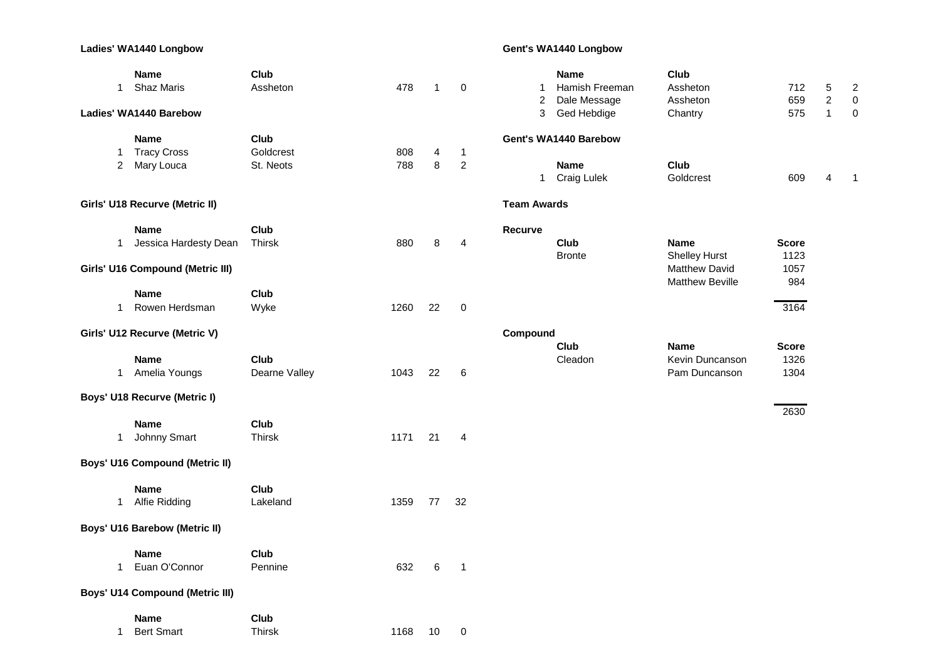# **Ladies' WA1440 Longbow Gent's WA1440 Longbow**

| $\mathbf{1}$   | <b>Name</b><br><b>Shaz Maris</b>       | Club<br>Assheton | 478  | $\mathbf{1}$   | 0              | 1                  | <b>Name</b><br>Hamish Freeman | Club<br>Assheton                        | 712          | 5              |                              |
|----------------|----------------------------------------|------------------|------|----------------|----------------|--------------------|-------------------------------|-----------------------------------------|--------------|----------------|------------------------------|
|                |                                        |                  |      |                |                | $\overline{c}$     | Dale Message                  | Assheton                                | 659          | $\overline{c}$ | $\overline{\mathbf{c}}$<br>0 |
|                | Ladies' WA1440 Barebow                 |                  |      |                |                | 3                  | Ged Hebdige                   | Chantry                                 | 575          | $\mathbf{1}$   | 0                            |
|                |                                        |                  |      |                |                |                    |                               |                                         |              |                |                              |
|                | <b>Name</b>                            | Club             |      |                |                |                    | Gent's WA1440 Barebow         |                                         |              |                |                              |
| $\mathbf{1}$   | <b>Tracy Cross</b>                     | Goldcrest        | 808  | $\overline{4}$ | $\mathbf{1}$   |                    |                               |                                         |              |                |                              |
| $\overline{2}$ | Mary Louca                             | St. Neots        | 788  | 8              | $\overline{2}$ |                    | Name<br>1 Craig Lulek         | <b>Club</b><br>Goldcrest                | 609          | 4              |                              |
|                | Girls' U18 Recurve (Metric II)         |                  |      |                |                | <b>Team Awards</b> |                               |                                         |              |                |                              |
|                | <b>Name</b>                            | Club             |      |                |                | Recurve            |                               |                                         |              |                |                              |
| $\mathbf{1}$   | Jessica Hardesty Dean                  | Thirsk           | 880  | 8              | $\overline{4}$ |                    | Club                          | Name                                    | <b>Score</b> |                |                              |
|                |                                        |                  |      |                |                |                    | <b>Bronte</b>                 | <b>Shelley Hurst</b>                    | 1123         |                |                              |
|                | Girls' U16 Compound (Metric III)       |                  |      |                |                |                    |                               | Matthew David<br><b>Matthew Beville</b> | 1057<br>984  |                |                              |
|                | Name                                   | Club             |      |                |                |                    |                               |                                         |              |                |                              |
| $\mathbf{1}$   | Rowen Herdsman                         | Wyke             | 1260 | 22             | $\mathbf 0$    |                    |                               |                                         | 3164         |                |                              |
|                | Girls' U12 Recurve (Metric V)          |                  |      |                |                | Compound           |                               |                                         |              |                |                              |
|                |                                        |                  |      |                |                |                    | Club                          | <b>Name</b>                             | <b>Score</b> |                |                              |
|                | <b>Name</b>                            | Club             |      |                |                |                    | Cleadon                       | Kevin Duncanson                         | 1326         |                |                              |
| $\mathbf 1$    | Amelia Youngs                          | Dearne Valley    | 1043 | 22             | $\,6$          |                    |                               | Pam Duncanson                           | 1304         |                |                              |
|                | <b>Boys' U18 Recurve (Metric I)</b>    |                  |      |                |                |                    |                               |                                         |              |                |                              |
|                | <b>Name</b>                            | Club             |      |                |                |                    |                               |                                         | 2630         |                |                              |
| $\mathbf{1}$   | Johnny Smart                           | Thirsk           | 1171 | 21             | 4              |                    |                               |                                         |              |                |                              |
|                |                                        |                  |      |                |                |                    |                               |                                         |              |                |                              |
|                | <b>Boys' U16 Compound (Metric II)</b>  |                  |      |                |                |                    |                               |                                         |              |                |                              |
|                | <b>Name</b>                            | Club             |      |                |                |                    |                               |                                         |              |                |                              |
| $\mathbf{1}$   | Alfie Ridding                          | Lakeland         | 1359 | 77             | 32             |                    |                               |                                         |              |                |                              |
|                | <b>Boys' U16 Barebow (Metric II)</b>   |                  |      |                |                |                    |                               |                                         |              |                |                              |
|                | <b>Name</b>                            | Club             |      |                |                |                    |                               |                                         |              |                |                              |
| $\mathbf{1}$   | Euan O'Connor                          | Pennine          | 632  | 6              | $\mathbf{1}$   |                    |                               |                                         |              |                |                              |
|                |                                        |                  |      |                |                |                    |                               |                                         |              |                |                              |
|                | <b>Boys' U14 Compound (Metric III)</b> |                  |      |                |                |                    |                               |                                         |              |                |                              |
|                | Name                                   | Club             |      |                |                |                    |                               |                                         |              |                |                              |
| $\mathbf{1}$   | <b>Bert Smart</b>                      | <b>Thirsk</b>    | 1168 | 10             | $\pmb{0}$      |                    |                               |                                         |              |                |                              |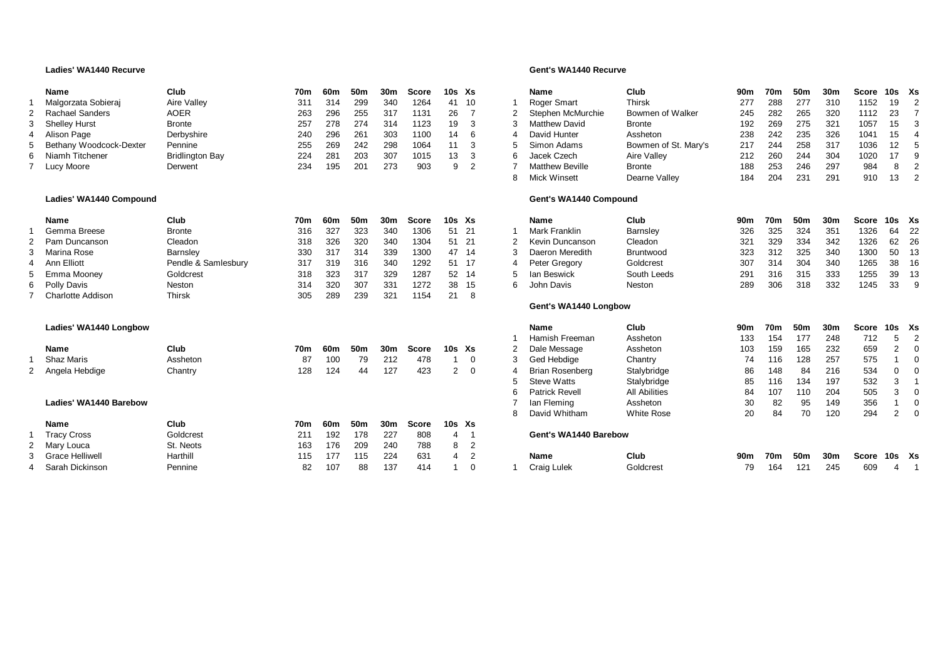### **Ladies' WA1440 Recurve Gent's WA1440 Recurve**

|   | Name                      | Club                   | 70m | 60m | 50m | 30m | Score | 10s Xs |  | Name                   | Club                 | 90m | 70m | 50m | 30m  | Score 10s Xs |          |                            |
|---|---------------------------|------------------------|-----|-----|-----|-----|-------|--------|--|------------------------|----------------------|-----|-----|-----|------|--------------|----------|----------------------------|
|   | Malgorzata Sobieraj       | Aire Valley            | 311 | 314 | 299 | 340 | 1264  | 41 10  |  | Roger Smart            | Thirsk               | 277 | 288 | 277 | 310  | 1152         | - 19     | $\overline{\phantom{0}}^2$ |
|   | Rachael Sanders           | AOER                   | 263 | 296 | 255 | 317 | 1131  | 26     |  | Stephen McMurchie      | Bowmen of Walker     | 245 | 282 | 265 | 320  | 1112         | - 23     |                            |
|   | 3 Shelley Hurst           | <b>Bronte</b>          | 257 | 278 | 274 | 314 | 1123  | 19     |  | Matthew David          | Bronte               | 192 | 269 | 275 | -321 | 1057         | - 15     | - 3                        |
|   | 4 Alison Page             | Derbyshire             | 240 | 296 | 261 | 303 | 1100  | 14     |  | David Hunter           | Assheton             | 238 | 242 | 235 | 326  | 1041         | - 15     | - 4                        |
|   | 5 Bethany Woodcock-Dexter | Pennine                | 255 | 269 | 242 | 298 | 1064  | 11     |  | Simon Adams            | Bowmen of St. Mary's | 217 | 244 | 258 | -317 | 1036         | - 12 - 5 |                            |
| 6 | Niamh Titchener           | <b>Bridlington Bay</b> | 224 | 28٬ | 203 | 307 | 1015  | 13     |  | Jacek Czech            | Aire Valley          | 212 | 260 | 244 | 304  | 1020         |          | - g                        |
|   | Lucy Moore                | Derwent                | 234 | 195 |     | 273 | 903   | a      |  | <b>Matthew Beville</b> | Bronte               | 188 | 253 | 246 | 297  | 984          |          |                            |

### Ladies' WA1440 Compound

| Name              | Club                | 70m | 60m  | 50m | 30m | <b>Score</b> | $10s$ $Xs$ |      | Name            | Club        | 90m | 70m | 50m | 30m | Score | 10s Xs |         |
|-------------------|---------------------|-----|------|-----|-----|--------------|------------|------|-----------------|-------------|-----|-----|-----|-----|-------|--------|---------|
| Gemma Breese      | <b>Bronte</b>       | 316 | -327 | 323 | 340 | 1306         | 51 21      |      | Mark Franklin   | Barnsley    | 326 | 325 | 324 | 351 | 1326  | 64     | $_{22}$ |
| 2 Pam Duncanson   | Cleadon             | 318 | 326  | 320 | 340 | 1304         | 51 21      |      | Kevin Duncanson | Cleadon     | 321 | 329 | 334 | 342 | 1326  | 62 26  |         |
| Marina Rose       | Barnsley            | 330 | 317  | 314 | 339 | 1300         | 47         | - 14 | Daeron Meredith | Bruntwood   | 323 | 312 | 325 | 340 | 1300  | 50 13  |         |
| 4 Ann Elliott     | Pendle & Samlesbury | 317 | 319  | 316 | 340 | 1292         | 51 17      |      | Peter Gregory   | Goldcrest   | 307 | 314 | 304 | 340 | 1265  | 38 16  |         |
| 5 Emma Mooney     | Goldcrest           | 318 | 323  | 317 | 329 | 1287         | 52 14      |      | lan Beswick     | South Leeds | 291 | 316 | 315 | 333 | 1255  | 39 13  |         |
| 6 Polly Davis     | Neston              | 314 | 320  | 307 | 331 | 1272         | 38 15      |      | John Davis      | Neston      | 289 | 306 | 318 | 332 | 1245  | 33     | o g     |
| Charlotte Addison | Thirsk              | 305 | 289  | 239 | 321 | 1154         | 21         |      |                 |             |     |     |     |     |       |        |         |

### $L$ adies' WA1440 Longbow

| <b>Name</b>       | Club     | 70m | 60m | 50m | 30 <sub>m</sub> | Score | 10s Xs                                   |  | Dale Message                        | Assheton          | 103 | 159            | 165                | 232 | 659  | 2 0                                      |                            |
|-------------------|----------|-----|-----|-----|-----------------|-------|------------------------------------------|--|-------------------------------------|-------------------|-----|----------------|--------------------|-----|------|------------------------------------------|----------------------------|
| <b>Shaz Maris</b> | Assheton |     | 100 | 79  | 212             | 478   | $\begin{array}{ccc} & 1 & 0 \end{array}$ |  | <sup>2</sup> Ged Hebdige            | Chantry           |     | 116            | 128                | 257 | 575  |                                          | $\overline{\phantom{a}}$ 0 |
| 2 Angela Hebdige  | Chantrv  | 128 | 124 | 44  | 127             | 423   | 20                                       |  | Brian Rosenberg                     | Stalybridge       | 86  | 148            | - 84               | 216 | 534  | $\begin{array}{ccc} & 0 & 0 \end{array}$ |                            |
|                   |          |     |     |     |                 |       |                                          |  | $C_{\text{data}}$ $M_{\text{data}}$ | Otalisland also a |     | $\overline{A}$ | $\Lambda$ $\Omega$ | 107 | roo. |                                          |                            |

### **Ladies' WA1440 Barebow**

| Name               | Club      | 70m | 60m  | 50m | 30m | Score | 10s Xs |  |                       |           |     |     |     |     |              |  |
|--------------------|-----------|-----|------|-----|-----|-------|--------|--|-----------------------|-----------|-----|-----|-----|-----|--------------|--|
| <b>Tracy Cross</b> | Goldcrest | 211 | 192  | 178 | 227 | 808   |        |  | Gent's WA1440 Barebow |           |     |     |     |     |              |  |
| 2 Mary Louca       | St. Neots | 163 | 176  | 209 | 240 | 788   | 8 2    |  |                       |           |     |     |     |     |              |  |
| 3 Grace Helliwell  | Harthill  | 115 | -177 | 115 | 224 | 631   |        |  | <b>Name</b>           | Club      | 90m | 70m | 50m | 30m | Score 10s Xs |  |
| 4 Sarah Dickinson  | Pennine   | 82  | 107  | 88  | 137 | 414   |        |  | Craig Lulek           | Goldcrest | 79  | 164 | 121 | 245 | 609          |  |

|                | <b>Name</b>            | Club                 | 90 <sub>m</sub> | 70m        | 50 <sub>m</sub> | 30 <sub>m</sub> | <b>Score</b> | 10 <sub>s</sub> | Xs             |
|----------------|------------------------|----------------------|-----------------|------------|-----------------|-----------------|--------------|-----------------|----------------|
| 1              | Roger Smart            | <b>Thirsk</b>        | 277             | 288        | 277             | 310             | 1152         | 19              | $\overline{2}$ |
| $\overline{2}$ | Stephen McMurchie      | Bowmen of Walker     | 245             | 282        | 265             | 320             | 1112         | 23              | $\overline{7}$ |
| 3              | Matthew David          | <b>Bronte</b>        | 192             | 269        | 275             | 321             | 1057         | 15              | 3              |
| 4              | David Hunter           | Assheton             | 238             | 242        | 235             | 326             | 1041         | 15              | $\overline{4}$ |
| 5              | Simon Adams            | Bowmen of St. Mary's | 217             | 244        | 258             | 317             | 1036         | 12              | 5              |
| 6              | Jacek Czech            | Aire Valley          | 212             | 260        | 244             | 304             | 1020         | 17              | 9              |
| $\overline{7}$ | <b>Matthew Beville</b> | <b>Bronte</b>        | 188             | 253        | 246             | 297             | 984          | 8               | $\overline{2}$ |
| 8              | Mick Winsett           | Dearne Valley        | 184             | 204        | 231             | 291             | 910          | 13              | $\overline{2}$ |
|                | Gent's WA1440 Compound |                      |                 |            |                 |                 |              |                 |                |
|                | <b>Name</b>            | Club                 | 90 <sub>m</sub> | 70m        | 50m             | 30m             | Score        | 10 <sub>s</sub> | Xs             |
| 1              | Mark Franklin          | Barnsley             | 326             | 325        | 324             | 351             | 1326         | 64              | 22             |
| $\overline{2}$ | Kevin Duncanson        | Cleadon              | 321             | 329        | 334             | 342             | 1326         | 62              | 26             |
| 3              | Daeron Meredith        | Bruntwood            | 323             | 312        | 325             | 340             | 1300         | 50              | 13             |
| $\overline{4}$ | Peter Gregory          | Goldcrest            | 307             | 314        | 304             | 340             | 1265         | 38              | 16             |
| 5              | lan Beswick            | South Leeds          | 291             | 316        | 315             | 333             | 1255         | 39              | 13             |
| 6              | <b>John Davis</b>      | <b>Neston</b>        | 289             | 306        | 318             | 332             | 1245         | 33              | 9              |
|                | Gent's WA1440 Longbow  |                      |                 |            |                 |                 |              |                 |                |
|                | <b>Name</b>            | Club                 | 90 <sub>m</sub> | 70m        | 50 <sub>m</sub> | 30 <sub>m</sub> | <b>Score</b> | 10 <sub>s</sub> | Xs             |
| $\mathbf{1}$   | Hamish Freeman         | Assheton             | 133             | 154        | 177             | 248             | 712          | 5               | $\overline{2}$ |
| $\overline{2}$ | Dale Message           | Assheton             | 103             | 159        | 165             | 232             | 659          | $\overline{2}$  | $\mathbf 0$    |
| 3              | Ged Hebdige            | Chantry              | 74              | 116        | 128             | 257             | 575          | 1               | $\mathbf 0$    |
| 4              | <b>Brian Rosenberg</b> | Stalybridge          | 86              | 148        | 84              | 216             | 534          | $\mathbf 0$     | $\mathbf 0$    |
| 5              | <b>Steve Watts</b>     | Stalybridge          | 85              | 116        | 134             | 197             | 532          | 3               | $\mathbf{1}$   |
| 6              | <b>Patrick Revell</b>  | <b>All Abilities</b> | 84              | 107        | 110             | 204             | 505          | 3               | $\mathbf 0$    |
| $\overline{7}$ | lan Fleming            | Assheton             | 30              |            | 95              | 149             | 356          | 1               | $\mathbf 0$    |
| 8              | David Whitham          | <b>White Rose</b>    | 20              | 84         | 70              | 120             | 294          |                 | $\Omega$       |
|                | Gent's WA1440 Barebow  |                      |                 |            |                 |                 |              |                 |                |
|                | <b>Name</b>            | Club                 | 90 <sub>m</sub> | <b>70m</b> | 50 <sub>m</sub> | 30m             | Score        | 10s             | Xs             |
| 1              | Craig Lulek            | Goldcrest            | 79              | 164        | 121             | 245             | 609          | 4               | 1              |
|                |                        |                      |                 | 82         |                 |                 |              | $\overline{2}$  |                |